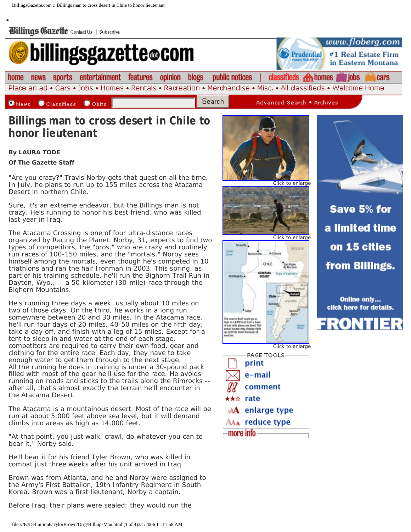

## **By LAURA TODE**

•

## **Of The Gazette Staff**

"Are you crazy?" Travis Norby gets that question all the time. In July, he plans to run up to 155 miles across the Atacama Desert in northern Chile.

Sure, it's an extreme endeavor, but the Billings man is not crazy. He's running to honor his best friend, who was killed last year in Iraq.

The Atacama Crossing is one of four ultra-distance races organized by Racing the Planet. Norby, 31, expects to find two types of competitors, the "pros," who are crazy and routinely run races of 100-150 miles, and the "mortals." Norby sees himself among the mortals, even though he's competed in 10 triathlons and ran the half Ironman in 2003. This spring, as part of his training schedule, he'll run the Bighorn Trail Run in Dayton, Wyo., -- a 50-kilometer (30-mile) race through the Bighorn Mountains.

He's running three days a week, usually about 10 miles on two of those days. On the third, he works in a long run, somewhere between 20 and 30 miles. In the Atacama race, he'll run four days of 20 miles, 40-50 miles on the fifth day, take a day off, and finish with a leg of 15 miles. Except for a tent to sleep in and water at the end of each stage, competitors are required to carry their own food, gear and clothing for the entire race. Each day, they have to take enough water to get them through to the next stage. All the running he does in training is under a 30-pound pack filled with most of the gear he'll use for the race. He avoids running on roads and sticks to the trails along the Rimrocks - after all, that's almost exactly the terrain he'll encounter in the Atacama Desert.

The Atacama is a mountainous desert. Most of the race will be run at about 5,000 feet above sea level, but it will demand climbs into areas as high as 14,000 feet.

"At that point, you just walk, crawl, do whatever you can to bear it," Norby said.

He'll bear it for his friend Tyler Brown, who was killed in combat just three weeks after his unit arrived in Iraq.

Brown was from Atlanta, and he and Norby were assigned to the Army's First Battalion, 19th Infantry Regiment in South Korea. Brown was a first lieutenant, Norby a captain.

Before Iraq, their plans were sealed: they would run the



CHILE

Antollace

The course itself could go a<br>high as 14,000 feet from a 1<br>of one mile above sea level

tal course may the nuy change<br>ret because Click to enlarge

San Pedro

**BOLIVIA** 



Save 5% for a limited time on 15 cities from Billings.

Online only... click here for details.

330N

Click to enlarge PAGE TOOLS print e-mail comment ★★☆ rate **AA** enlarge type AAA reduce type —**more info** -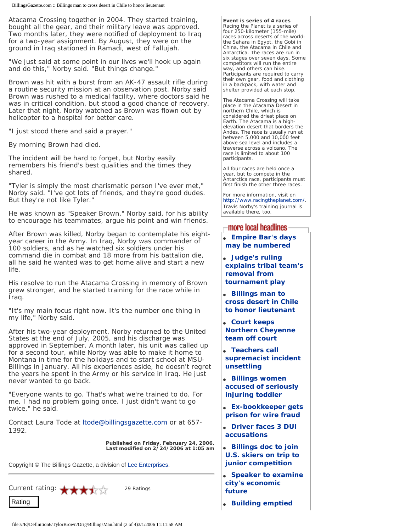Atacama Crossing together in 2004. They started training, bought all the gear, and their military leave was approved. Two months later, they were notified of deployment to Iraq for a two-year assignment. By August, they were on the ground in Iraq stationed in Ramadi, west of Fallujah.

"We just said at some point in our lives we'll hook up again and do this," Norby said. "But things change."

Brown was hit with a burst from an AK-47 assault rifle during a routine security mission at an observation post. Norby said Brown was rushed to a medical facility, where doctors said he was in critical condition, but stood a good chance of recovery. Later that night, Norby watched as Brown was flown out by helicopter to a hospital for better care.

"I just stood there and said a prayer."

By morning Brown had died.

The incident will be hard to forget, but Norby easily remembers his friend's best qualities and the times they shared.

"Tyler is simply the most charismatic person I've ever met," Norby said. "I've got lots of friends, and they're good dudes. But they're not like Tyler."

He was known as "Speaker Brown," Norby said, for his ability to encourage his teammates, argue his point and win friends.

After Brown was killed, Norby began to contemplate his eightyear career in the Army. In Iraq, Norby was commander of 100 soldiers, and as he watched six soldiers under his command die in combat and 18 more from his battalion die, all he said he wanted was to get home alive and start a new life.

His resolve to run the Atacama Crossing in memory of Brown grew stronger, and he started training for the race while in Iraq.

"It's my main focus right now. It's the number one thing in my life," Norby said.

After his two-year deployment, Norby returned to the United States at the end of July, 2005, and his discharge was approved in September. A month later, his unit was called up for a second tour, while Norby was able to make it home to Montana in time for the holidays and to start school at MSU-Billings in January. All his experiences aside, he doesn't regret the years he spent in the Army or his service in Iraq. He just never wanted to go back.

"Everyone wants to go. That's what we're trained to do. For me, I had no problem going once. I just didn't want to go twice," he said.

*Contact Laura Tode at [ltode@billingsgazette.com](mailto:ltode@billingsgazette.com) or at 657- 1392.* 

> **Published on Friday, February 24, 2006. Last modified on 2/24/2006 at 1:05 am**

Copyright © The Billings Gazette, a division of [Lee Enterprises.](http://www.leeenterprises.com/)



**Event is series of 4 races** Racing the Planet is a series of four 250-kilometer (155-mile) races across deserts of the world: the Sahara in Egypt, the Gobi in China, the Atacama in Chile and Antarctica. The races are run in six stages over seven days. Some competitors will run the entire way, and others can hike. Participants are required to carry their own gear, food and clothing in a backpack, with water and shelter provided at each stop.

The Atacama Crossing will take place in the Atacama Desert in northern Chile, which is considered the driest place on Earth. The Atacama is a highelevation desert that borders the Andes. The race is usually run at between 5,000 and 10,000 feet above sea level and includes a traverse across a volcano. The race is limited to about 100 participants.

All four races are held once a year, but to compete in the Antarctica race, participants must first finish the other three races.

For more information, visit on <http://www.racingtheplanet.com/>. Travis Norby's training journal is available there, too.

## $\lnot$  more local headlines

- **[Empire Bar's days](http://www.billingsgazette.net/articles/2006/02/24/news/local/18-empire-bar.txt) [may be numbered](http://www.billingsgazette.net/articles/2006/02/24/news/local/18-empire-bar.txt)**
- **[Judge's ruling](http://www.billingsgazette.net/articles/2006/02/24/news/local/19-nc-decision_x.txt) [explains tribal team's](http://www.billingsgazette.net/articles/2006/02/24/news/local/19-nc-decision_x.txt) [removal from](http://www.billingsgazette.net/articles/2006/02/24/news/local/19-nc-decision_x.txt) [tournament play](http://www.billingsgazette.net/articles/2006/02/24/news/local/19-nc-decision_x.txt)**
- **[Billings man to](http://www.billingsgazette.net/articles/2006/02/24/news/local/20-norby-desert.txt) [cross desert in Chile](http://www.billingsgazette.net/articles/2006/02/24/news/local/20-norby-desert.txt)  [to honor lieutenant](http://www.billingsgazette.net/articles/2006/02/24/news/local/20-norby-desert.txt)**
- **[Court keeps](http://www.billingsgazette.net/articles/2006/02/24/news/local/25-northern-cheyenne.txt)  [Northern Cheyenne](http://www.billingsgazette.net/articles/2006/02/24/news/local/25-northern-cheyenne.txt) [team off court](http://www.billingsgazette.net/articles/2006/02/24/news/local/25-northern-cheyenne.txt)**
- **[Teachers call](http://www.billingsgazette.net/articles/2006/02/24/news/local/30-supremacist.txt) [supremacist incident](http://www.billingsgazette.net/articles/2006/02/24/news/local/30-supremacist.txt) [unsettling](http://www.billingsgazette.net/articles/2006/02/24/news/local/30-supremacist.txt)**
- **[Billings women](http://www.billingsgazette.net/articles/2006/02/24/news/local/31-toddler-hurt.txt)  [accused of seriously](http://www.billingsgazette.net/articles/2006/02/24/news/local/31-toddler-hurt.txt)  [injuring toddler](http://www.billingsgazette.net/articles/2006/02/24/news/local/31-toddler-hurt.txt)**
- **[Ex-bookkeeper gets](http://www.billingsgazette.net/articles/2006/02/24/news/local/32-bookkeeper-fraud.txt)  [prison for wire fraud](http://www.billingsgazette.net/articles/2006/02/24/news/local/32-bookkeeper-fraud.txt)**
- **[Driver faces 3 DUI](http://www.billingsgazette.net/articles/2006/02/24/news/local/33-dui.txt)  [accusations](http://www.billingsgazette.net/articles/2006/02/24/news/local/33-dui.txt)**
- **[Billings doc to join](http://www.billingsgazette.net/articles/2006/02/24/news/local/35-doc-ski.txt)  [U.S. skiers on trip to](http://www.billingsgazette.net/articles/2006/02/24/news/local/35-doc-ski.txt)  [junior competition](http://www.billingsgazette.net/articles/2006/02/24/news/local/35-doc-ski.txt)**
- **[Speaker to examine](http://www.billingsgazette.net/articles/2006/02/24/news/local/40-economic-future.txt)  [city's economic](http://www.billingsgazette.net/articles/2006/02/24/news/local/40-economic-future.txt) [future](http://www.billingsgazette.net/articles/2006/02/24/news/local/40-economic-future.txt)**
- **[Building emptied](http://www.billingsgazette.net/articles/2006/02/24/news/local/50-fire.txt)**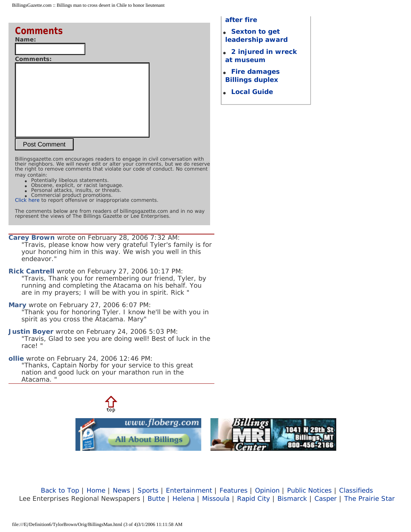| <b>Comments</b>     |
|---------------------|
| Name:               |
|                     |
| <b>Comments:</b>    |
|                     |
| <b>Post Comment</b> |

*Billingsgazette.com encourages readers to engage in civil conversation with their neighbors. We will never edit or alter your comments, but we do reserve the right to remove comments that violate our code of conduct. No comment may contain:*

- Potentially libelous statements.
- Obscene, explicit, or racist language.<br>● Personal attacks, insults, or threats.
- **Commercial product promotions.**
- [Click here](http://www.billingsgazette.net/h/forms/commentreport.php) to report offensive or inappropriate comments.

The comments below are from readers of billingsgazette.com and in no way represent the views of The Billings Gazette or Lee Enterprises.

**Carey Brown** wrote on February 28, 2006 7:32 AM: "Travis, please know how very grateful Tyler's family is for your honoring him in this way. We wish you well in this endeavor."

**Rick Cantrell** wrote on February 27, 2006 10:17 PM: "Travis, Thank you for remembering our friend, Tyler, by running and completing the Atacama on his behalf. You are in my prayers; I will be with you in spirit. Rick "

**Mary** wrote on February 27, 2006 6:07 PM: "Thank you for honoring Tyler. I know he'll be with you in spirit as you cross the Atacama. Mary"

**Justin Boyer** wrote on February 24, 2006 5:03 PM: "Travis, Glad to see you are doing well! Best of luck in the race! "

**ollie** wrote on February 24, 2006 12:46 PM: "Thanks, Captain Norby for your service to this great nation and good luck on your marathon run in the Atacama. "



[Back to Top](http://www.billingsgazette.net/articles/2006/02/24/news/local/20-norby-desert.txt#top) | [Home](http://www.billingsgazette.net/articles/2006/02/24/news/local/20-norby-desert.txt#topofpage) | [News](http://www.billingsgazette.net/news/) | [Sports](http://www.billingsgazette.net/sports/) | [Entertainment](http://www.billingsgazette.net/entertainment/) | [Features](http://www.billingsgazette.net/features/) | [Opinion](http://www.billingsgazette.net/opinion/) | [Public Notices](http://www.billingsgazette.net/notices/) | [Classifieds](http://www.billingsgazette.net/admarket/)  Lee Enterprises Regional Newspapers | [Butte](http://www.mtstandard.com/) | [Helena](http://www.helenair.com/) | [Missoula](http://www.missoulian.com/) | [Rapid City](http://www.rapidcityjournal.com/) | [Bismarck](http://www.bismarcktribune.com/) | [Casper](http://www.casperstartribune.net/) | [The Prairie Star](http://www.theprairiestar.com/)

● **[Fire damages](http://www.billingsgazette.net/articles/2006/02/24/news/local/92-fire.txt)  [Billings duplex](http://www.billingsgazette.net/articles/2006/02/24/news/local/92-fire.txt)**

**[after fire](http://www.billingsgazette.net/articles/2006/02/24/news/local/50-fire.txt)** 

● **[Local Guide](http://www.billingsgazette.net/articles/2006/02/24/news/local/99-local-guide.txt)**